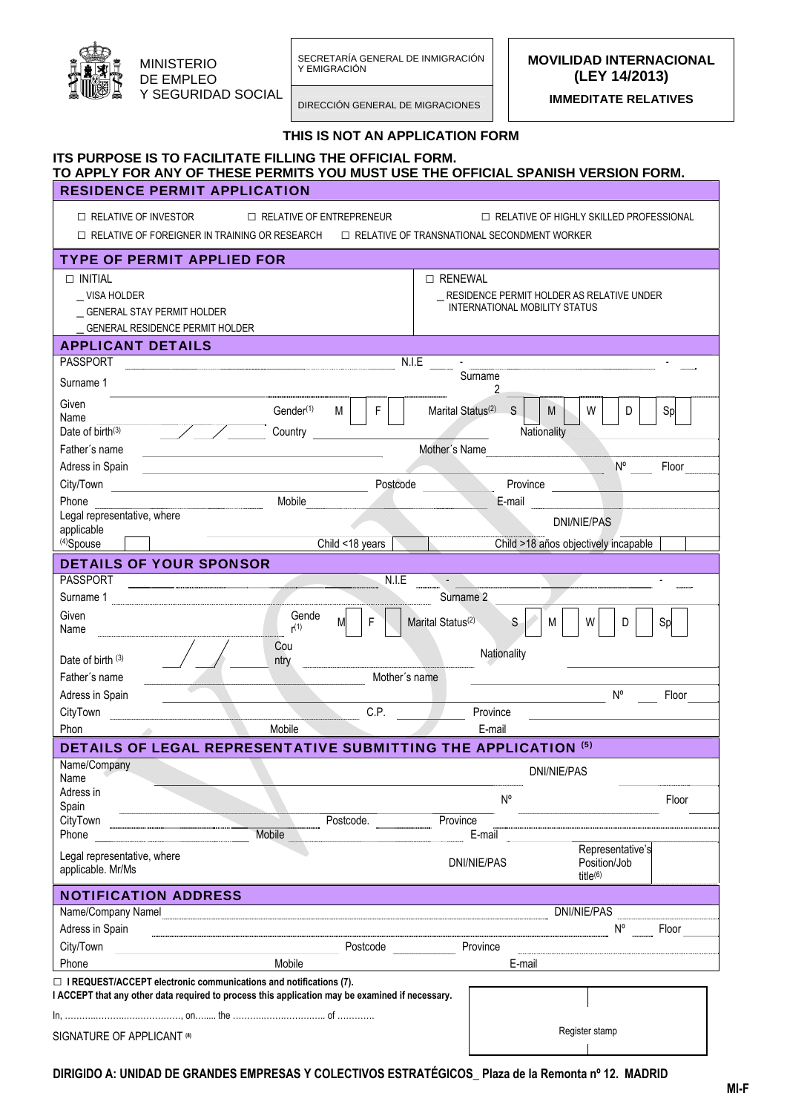

SECRETARÍA GENERAL DE INMIGRACIÓN Y EMIGRACIÓN MINISTERIO

DIRECCIÓN GENERAL DE MIGRACIONES

**MOVILIDAD INTERNACIONAL (LEY 14/2013)** 

**IMMEDITATE RELATIVES** 

|                                                                                                                                              | THIS IS NOT AN APPLICATION FORM                                                                 |
|----------------------------------------------------------------------------------------------------------------------------------------------|-------------------------------------------------------------------------------------------------|
| ITS PURPOSE IS TO FACILITATE FILLING THE OFFICIAL FORM.<br>TO APPLY FOR ANY OF THESE PERMITS YOU MUST USE THE OFFICIAL SPANISH VERSION FORM. |                                                                                                 |
| <b>RESIDENCE PERMIT APPLICATION</b>                                                                                                          |                                                                                                 |
| $\Box$ RELATIVE OF INVESTOR                                                                                                                  | $\Box$ RELATIVE OF ENTREPRENEUR<br>□ RELATIVE OF HIGHLY SKILLED PROFESSIONAL                    |
| $\Box$ RELATIVE OF FOREIGNER IN TRAINING OR RESEARCH                                                                                         | $\Box$ RELATIVE OF TRANSNATIONAL SECONDMENT WORKER                                              |
| <b>TYPE OF PERMIT APPLIED FOR</b>                                                                                                            |                                                                                                 |
| $\Box$ INITIAL                                                                                                                               | □ RENEWAL                                                                                       |
| VISA HOLDER                                                                                                                                  | RESIDENCE PERMIT HOLDER AS RELATIVE UNDER                                                       |
| GENERAL STAY PERMIT HOLDER                                                                                                                   | <b>INTERNATIONAL MOBILITY STATUS</b>                                                            |
| GENERAL RESIDENCE PERMIT HOLDER                                                                                                              |                                                                                                 |
| <b>APPLICANT DETAILS</b>                                                                                                                     |                                                                                                 |
| <b>PASSPORT</b>                                                                                                                              | N.I.E                                                                                           |
| Surname 1                                                                                                                                    | Surname<br>$\overline{2}$                                                                       |
| Given                                                                                                                                        |                                                                                                 |
| Name                                                                                                                                         | Gender <sup>(1)</sup><br>M<br>F<br>Marital Status <sup>(2)</sup><br>S<br>W<br>M<br>D<br>Sp      |
| Date of birth <sup>(3)</sup>                                                                                                                 | Country<br>Nationality                                                                          |
| Father's name                                                                                                                                | Mother's Name                                                                                   |
| Adress in Spain                                                                                                                              | N°<br>Floor                                                                                     |
| City/Town                                                                                                                                    | Postcode<br>Province                                                                            |
| Phone                                                                                                                                        | Mobile<br>E-mail                                                                                |
| Legal representative, where                                                                                                                  | DNI/NIE/PAS                                                                                     |
| applicable<br>$(4)$ Spouse                                                                                                                   | Child <18 years<br>Child >18 años objectively incapable                                         |
| <b>DETAILS OF YOUR SPONSOR</b>                                                                                                               |                                                                                                 |
| <b>PASSPORT</b>                                                                                                                              | N.I.E                                                                                           |
| Surname 1                                                                                                                                    | Surname 2                                                                                       |
| Given                                                                                                                                        | Gende                                                                                           |
| Name                                                                                                                                         | F<br>Marital Status <sup>(2)</sup><br>$\mathsf S$<br>W<br>M<br>М<br>D<br>Sp<br>r(1)             |
|                                                                                                                                              | Cou<br>Nationality                                                                              |
| Date of birth $(3)$                                                                                                                          | ntry                                                                                            |
| Father's name                                                                                                                                | Mother's name                                                                                   |
| Adress in Spain                                                                                                                              | $N^{\circ}$<br>Floor                                                                            |
| CityTown                                                                                                                                     | C.P.<br>Province                                                                                |
| Phon                                                                                                                                         | Mobile<br>E-mail                                                                                |
|                                                                                                                                              | DETAILS OF LEGAL REPRESENTATIVE SUBMITTING THE APPLICATION (5)                                  |
| Name/Company<br>Name                                                                                                                         | <b>DNI/NIE/PAS</b>                                                                              |
| Adress in                                                                                                                                    | $N^{\circ}$                                                                                     |
| Spain                                                                                                                                        | Floor                                                                                           |
| CityTown                                                                                                                                     | Postcode.<br>Province                                                                           |
| Phone                                                                                                                                        | Mobile<br>E-mail<br>Representative's                                                            |
| Legal representative, where                                                                                                                  | Position/Job<br>DNI/NIE/PAS                                                                     |
| applicable. Mr/Ms                                                                                                                            | title $(6)$                                                                                     |
| <b>NOTIFICATION ADDRESS</b>                                                                                                                  |                                                                                                 |
| Name/Company Namel                                                                                                                           | <b>DNI/NIE/PAS</b>                                                                              |
| Adress in Spain                                                                                                                              | N°<br>Floor                                                                                     |
| City/Town                                                                                                                                    | Postcode<br>Province                                                                            |
| Phone                                                                                                                                        | Mobile<br>E-mail                                                                                |
| $\Box$ I REQUEST/ACCEPT electronic communications and notifications (7).                                                                     |                                                                                                 |
|                                                                                                                                              | I ACCEPT that any other data required to process this application may be examined if necessary. |
|                                                                                                                                              |                                                                                                 |
| <b>SIGNATURE OF APPLICANT ®</b>                                                                                                              | Register stamp                                                                                  |
|                                                                                                                                              |                                                                                                 |

**DIRIGIDO A: UNIDAD DE GRANDES EMPRESAS Y COLECTIVOS ESTRATÉGICOS\_ Plaza de la Remonta nº 12. MADRID**